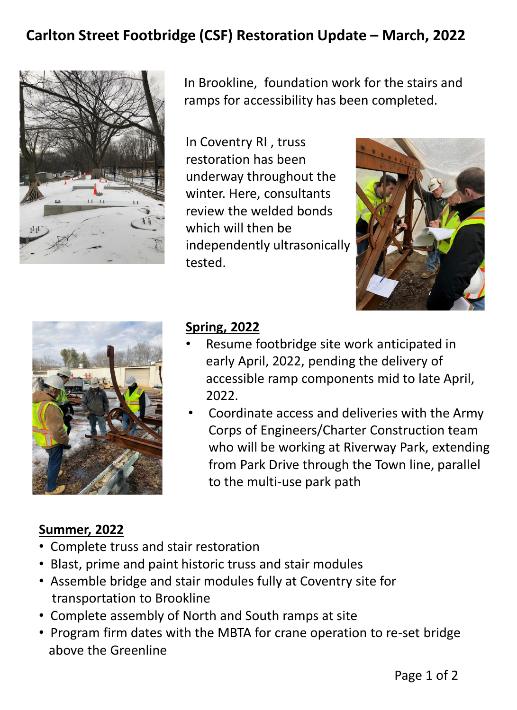## **Carlton Street Footbridge (CSF) Restoration Update – March, 2022**



In Brookline, foundation work for the stairs and ramps for accessibility has been completed.

In Coventry RI , truss restoration has been underway throughout the winter. Here, consultants review the welded bonds which will then be independently ultrasonically tested.





## **Spring, 2022**

- Resume footbridge site work anticipated in early April, 2022, pending the delivery of accessible ramp components mid to late April, 2022.
- Coordinate access and deliveries with the Army Corps of Engineers/Charter Construction team who will be working at Riverway Park, extending from Park Drive through the Town line, parallel to the multi-use park path

## **Summer, 2022**

- Complete truss and stair restoration
- Blast, prime and paint historic truss and stair modules
- Assemble bridge and stair modules fully at Coventry site for transportation to Brookline
- Complete assembly of North and South ramps at site
- Program firm dates with the MBTA for crane operation to re-set bridge above the Greenline